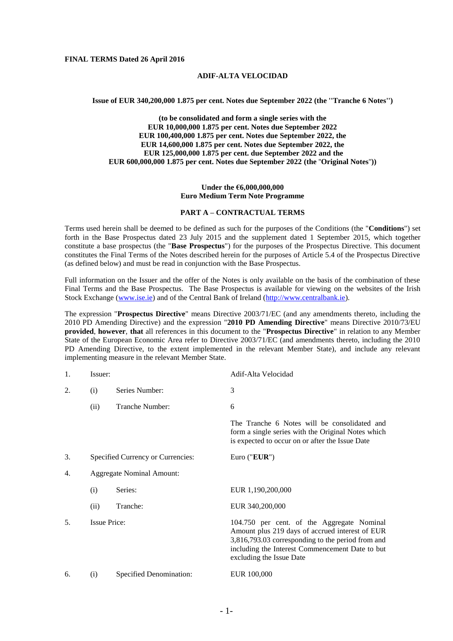#### **FINAL TERMS Dated 26 April 2016**

## **ADIF-ALTA VELOCIDAD**

#### **Issue of EUR 340,200,000 1.875 per cent. Notes due September 2022 (the ''Tranche 6 Notes'')**

**(to be consolidated and form a single series with the EUR 10,000,000 1.875 per cent. Notes due September 2022 EUR 100,400,000 1.875 per cent. Notes due September 2022, the EUR 14,600,000 1.875 per cent. Notes due September 2022, the EUR 125,000,000 1.875 per cent. due September 2022 and the EUR 600,000,000 1.875 per cent. Notes due September 2022 (the** ''**Original Notes**''**))**

#### **Under the €6,000,000,000 Euro Medium Term Note Programme**

## **PART A – CONTRACTUAL TERMS**

Terms used herein shall be deemed to be defined as such for the purposes of the Conditions (the "**Conditions**") set forth in the Base Prospectus dated 23 July 2015 and the supplement dated 1 September 2015, which together constitute a base prospectus (the "**Base Prospectus**") for the purposes of the Prospectus Directive. This document constitutes the Final Terms of the Notes described herein for the purposes of Article 5.4 of the Prospectus Directive (as defined below) and must be read in conjunction with the Base Prospectus.

Full information on the Issuer and the offer of the Notes is only available on the basis of the combination of these Final Terms and the Base Prospectus. The Base Prospectus is available for viewing on the websites of the Irish Stock Exchange [\(www.ise.ie\)](www.ise.ie) and of the Central Bank of Ireland [\(http://www.centralbank.ie\)](http://www.centralbank.ie/).

The expression "**Prospectus Directive**" means Directive 2003/71/EC (and any amendments thereto, including the 2010 PD Amending Directive) and the expression "**2010 PD Amending Directive**" means Directive 2010/73/EU **provided**, **however**, **that** all references in this document to the "**Prospectus Directive**" in relation to any Member State of the European Economic Area refer to Directive 2003/71/EC (and amendments thereto, including the 2010 PD Amending Directive, to the extent implemented in the relevant Member State), and include any relevant implementing measure in the relevant Member State.

| 1. | Issuer:             |                                   | Adif-Alta Velocidad                                                                                                                                                                                                               |
|----|---------------------|-----------------------------------|-----------------------------------------------------------------------------------------------------------------------------------------------------------------------------------------------------------------------------------|
| 2. | (i)                 | Series Number:                    | 3                                                                                                                                                                                                                                 |
|    | (ii)                | Tranche Number:                   | 6                                                                                                                                                                                                                                 |
|    |                     |                                   | The Tranche 6 Notes will be consolidated and<br>form a single series with the Original Notes which<br>is expected to occur on or after the Issue Date                                                                             |
| 3. |                     | Specified Currency or Currencies: | Euro (" $EUR$ ")                                                                                                                                                                                                                  |
| 4. |                     | <b>Aggregate Nominal Amount:</b>  |                                                                                                                                                                                                                                   |
|    | (i)                 | Series:                           | EUR 1,190,200,000                                                                                                                                                                                                                 |
|    | (ii)                | Tranche:                          | EUR 340,200,000                                                                                                                                                                                                                   |
| 5. | <b>Issue Price:</b> |                                   | 104.750 per cent. of the Aggregate Nominal<br>Amount plus 219 days of accrued interest of EUR<br>3,816,793.03 corresponding to the period from and<br>including the Interest Commencement Date to but<br>excluding the Issue Date |
| 6. | (i)                 | Specified Denomination:           | EUR 100,000                                                                                                                                                                                                                       |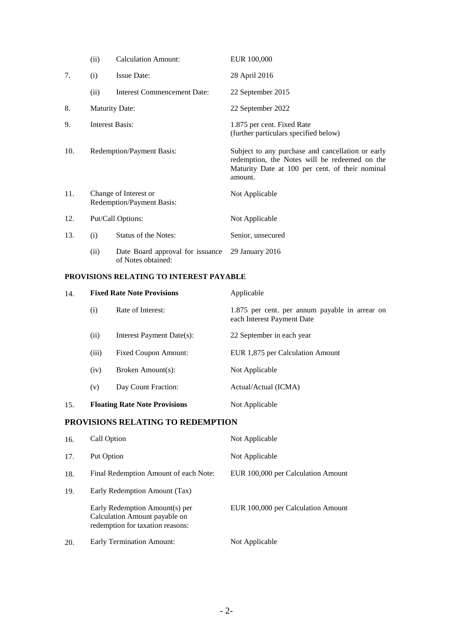|     | (ii)                   | <b>Calculation Amount:</b>                             | EUR 100,000                                                                                                                                                      |
|-----|------------------------|--------------------------------------------------------|------------------------------------------------------------------------------------------------------------------------------------------------------------------|
| 7.  | (i)                    | <b>Issue Date:</b>                                     | 28 April 2016                                                                                                                                                    |
|     | (ii)                   | <b>Interest Commencement Date:</b>                     | 22 September 2015                                                                                                                                                |
| 8.  |                        | <b>Maturity Date:</b>                                  | 22 September 2022                                                                                                                                                |
| 9.  | <b>Interest Basis:</b> |                                                        | 1.875 per cent. Fixed Rate<br>(further particulars specified below)                                                                                              |
| 10. |                        | Redemption/Payment Basis:                              | Subject to any purchase and cancellation or early<br>redemption, the Notes will be redeemed on the<br>Maturity Date at 100 per cent. of their nominal<br>amount. |
| 11. |                        | Change of Interest or<br>Redemption/Payment Basis:     | Not Applicable                                                                                                                                                   |
| 12. | Put/Call Options:      |                                                        | Not Applicable                                                                                                                                                   |
| 13. | (i)                    | <b>Status of the Notes:</b>                            | Senior, unsecured                                                                                                                                                |
|     | (ii)                   | Date Board approval for issuance<br>of Notes obtained: | 29 January 2016                                                                                                                                                  |

## **PROVISIONS RELATING TO INTEREST PAYABLE**

| 14. | <b>Fixed Rate Note Provisions</b> |                                      | Applicable                                                                   |
|-----|-----------------------------------|--------------------------------------|------------------------------------------------------------------------------|
|     | (i)                               | Rate of Interest:                    | 1.875 per cent. per annum payable in arrear on<br>each Interest Payment Date |
|     | (ii)                              | Interest Payment Date(s):            | 22 September in each year                                                    |
|     | (iii)                             | <b>Fixed Coupon Amount:</b>          | EUR 1,875 per Calculation Amount                                             |
|     | (iv)                              | Broken Amount(s):                    | Not Applicable                                                               |
|     | (v)                               | Day Count Fraction:                  | Actual/Actual (ICMA)                                                         |
| 15. |                                   | <b>Floating Rate Note Provisions</b> | Not Applicable                                                               |

## **PROVISIONS RELATING TO REDEMPTION**

| 16. | Call Option                                                                                         | Not Applicable                     |
|-----|-----------------------------------------------------------------------------------------------------|------------------------------------|
| 17. | Put Option                                                                                          | Not Applicable                     |
| 18. | Final Redemption Amount of each Note:                                                               | EUR 100,000 per Calculation Amount |
| 19. | Early Redemption Amount (Tax)                                                                       |                                    |
|     | Early Redemption Amount(s) per<br>Calculation Amount payable on<br>redemption for taxation reasons: | EUR 100,000 per Calculation Amount |
| 20. | <b>Early Termination Amount:</b>                                                                    | Not Applicable                     |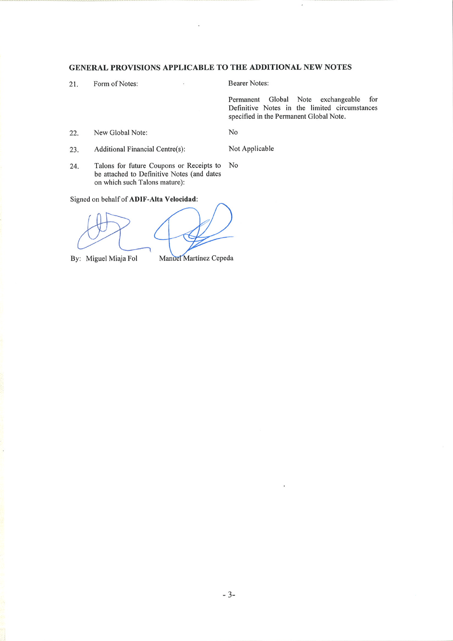## GENERAL PROVISIONS APPLICABLE TO THE ADDITIONAL NEW NOTES

 $\ddot{\phantom{a}}$ 

21. Form of Notes: **Bearer Notes:** 

Not Applicable

Permanent Global Note exchangeable for Definitive Notes in the limited circumstances specified in the Permanent Global Note.

New Global Note: 22.

 ${\rm No}$ 

Additional Financial Centre(s): 23.

Talons for future Coupons or Receipts to  ${\rm No}$ 24. be attached to Definitive Notes (and dates on which such Talons mature):

Signed on behalf of ADIF-Alta Velocidad:

By: Miguel Miaja Fol

Manuel Martínez Cepeda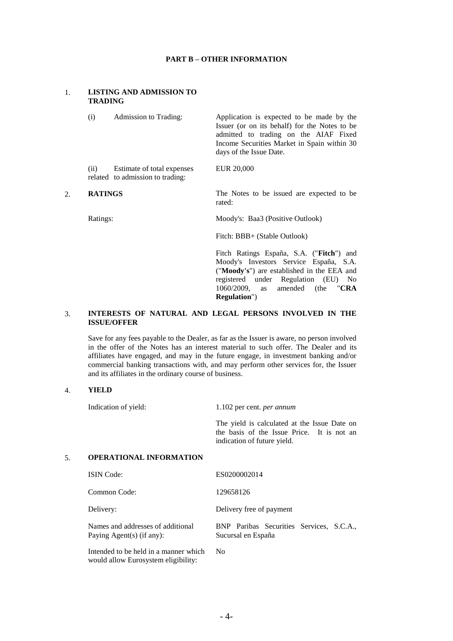#### **PART B – OTHER INFORMATION**

# 1. **LISTING AND ADMISSION TO TRADING**  (i) Admission to Trading: Application is expected to be made by the Issuer (or on its behalf) for the Notes to be admitted to trading on the AIAF Fixed Income Securities Market in Spain within 30 days of the Issue Date. (ii) Estimate of total expenses related to admission to trading: EUR 20,000 2. **RATINGS** The Notes to be issued are expected to be rated: Ratings: Moody's: Baa3 (Positive Outlook) Fitch: BBB+ (Stable Outlook)

Fitch Ratings España, S.A. ("**Fitch**") and Moody's Investors Service España, S.A. ("**Moody's**") are established in the EEA and registered under Regulation (EU) No 1060/2009, as amended (the "**CRA Regulation**")

## 3. **INTERESTS OF NATURAL AND LEGAL PERSONS INVOLVED IN THE ISSUE/OFFER**

Save for any fees payable to the Dealer, as far as the Issuer is aware, no person involved in the offer of the Notes has an interest material to such offer. The Dealer and its affiliates have engaged, and may in the future engage, in investment banking and/or commercial banking transactions with, and may perform other services for, the Issuer and its affiliates in the ordinary course of business.

### 4. **YIELD**

Indication of yield: 1.102 per cent. *per annum*

The yield is calculated at the Issue Date on the basis of the Issue Price. It is not an indication of future yield.

### 5. **OPERATIONAL INFORMATION**

| <b>ISIN</b> Code:                                                            | ES0200002014                                                   |
|------------------------------------------------------------------------------|----------------------------------------------------------------|
| Common Code:                                                                 | 129658126                                                      |
| Delivery:                                                                    | Delivery free of payment                                       |
| Names and addresses of additional<br>Paying Agent(s) (if any):               | BNP Paribas Securities Services, S.C.A.,<br>Sucursal en España |
| Intended to be held in a manner which<br>would allow Eurosystem eligibility: | No.                                                            |